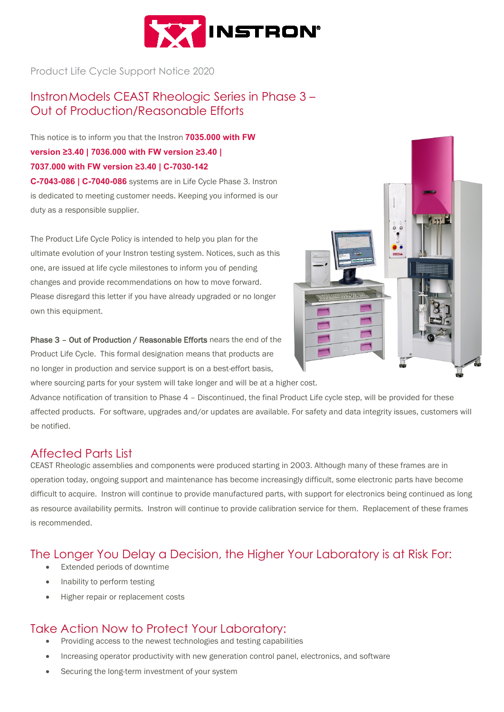

Product Life Cycle Support Notice 2020

## InstronModels CEAST Rheologic Series in Phase 3 – Out of Production/Reasonable Efforts

This notice is to inform you that the Instron **7035.000 with FW version ≥3.40 | 7036.000 with FW version ≥3.40 | 7037.000 with FW version ≥3.40 | C-7030-142 C-7043-086 | C-7040-086** systems are in Life Cycle Phase 3. Instron

is dedicated to meeting customer needs. Keeping you informed is our duty as a responsible supplier.

The Product Life Cycle Policy is intended to help you plan for the ultimate evolution of your Instron testing system. Notices, such as this one, are issued at life cycle milestones to inform you of pending changes and provide recommendations on how to move forward. Please disregard this letter if you have already upgraded or no longer own this equipment.

Phase 3 – Out of Production / Reasonable Efforts nears the end of the Product Life Cycle. This formal designation means that products are no longer in production and service support is on a best-effort basis,



where sourcing parts for your system will take longer and will be at a higher cost.

Advance notification of transition to Phase 4 – Discontinued, the final Product Life cycle step, will be provided for these affected products. For software, upgrades and/or updates are available. For safety and data integrity issues, customers will be notified.

## Affected Parts List

CEAST Rheologic assemblies and components were produced starting in 2003. Although many of these frames are in operation today, ongoing support and maintenance has become increasingly difficult, some electronic parts have become difficult to acquire. Instron will continue to provide manufactured parts, with support for electronics being continued as long as resource availability permits. Instron will continue to provide calibration service for them. Replacement of these frames is recommended.

# The Longer You Delay a Decision, the Higher Your Laboratory is at Risk For:

- Extended periods of downtime
- Inability to perform testing
- Higher repair or replacement costs

## Take Action Now to Protect Your Laboratory:

- Providing access to the newest technologies and testing capabilities
- Increasing operator productivity with new generation control panel, electronics, and software
- Securing the long-term investment of your system